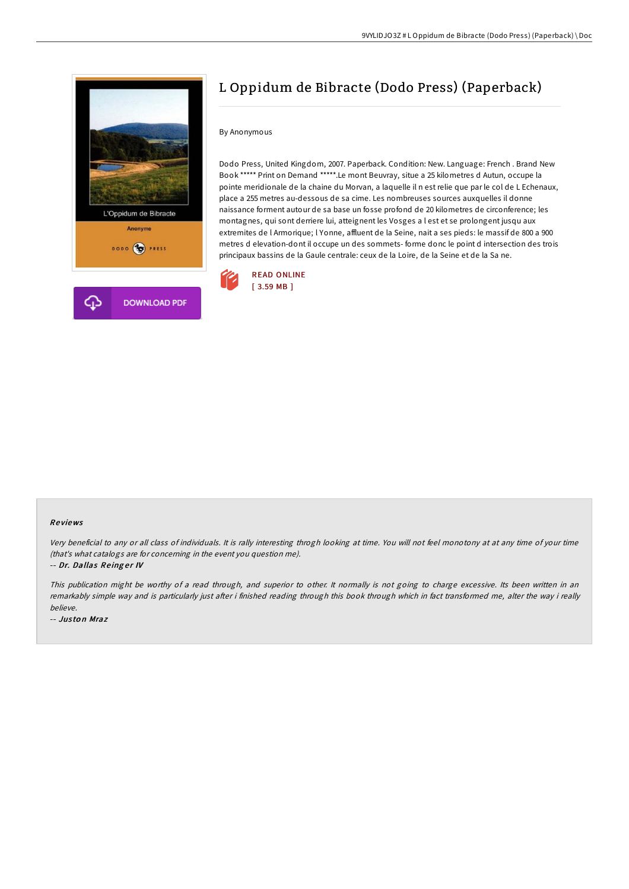

# L Oppidum de Bibracte (Dodo Press) (Paperback)

## By Anonymous

Dodo Press, United Kingdom, 2007. Paperback. Condition: New. Language: French . Brand New Book \*\*\*\*\* Print on Demand \*\*\*\*\*.Le mont Beuvray, situe a 25 kilometres d Autun, occupe la pointe meridionale de la chaine du Morvan, a laquelle il n est relie que par le col de L Echenaux, place a 255 metres au-dessous de sa cime. Les nombreuses sources auxquelles il donne naissance forment autour de sa base un fosse profond de 20 kilometres de circonference; les montagnes, qui sont derriere lui, atteignent les Vosges a l est et se prolongent jusqu aux extremites de l Armorique; l Yonne, affluent de la Seine, nait a ses pieds: le massif de 800 a 900 metres d elevation-dont il occupe un des sommets- forme donc le point d intersection des trois principaux bassins de la Gaule centrale: ceux de la Loire, de la Seine et de la Sa ne.



#### Re views

Very beneficial to any or all class of individuals. It is rally interesting throgh looking at time. You will not feel monotony at at any time of your time (that's what catalogs are for concerning in the event you question me).

-- Dr. Dallas Reinger IV

This publication might be worthy of <sup>a</sup> read through, and superior to other. It normally is not going to charge excessive. Its been written in an remarkably simple way and is particularly just after i finished reading through this book through which in fact transformed me, alter the way i really believe.

-- Jus to n Mraz